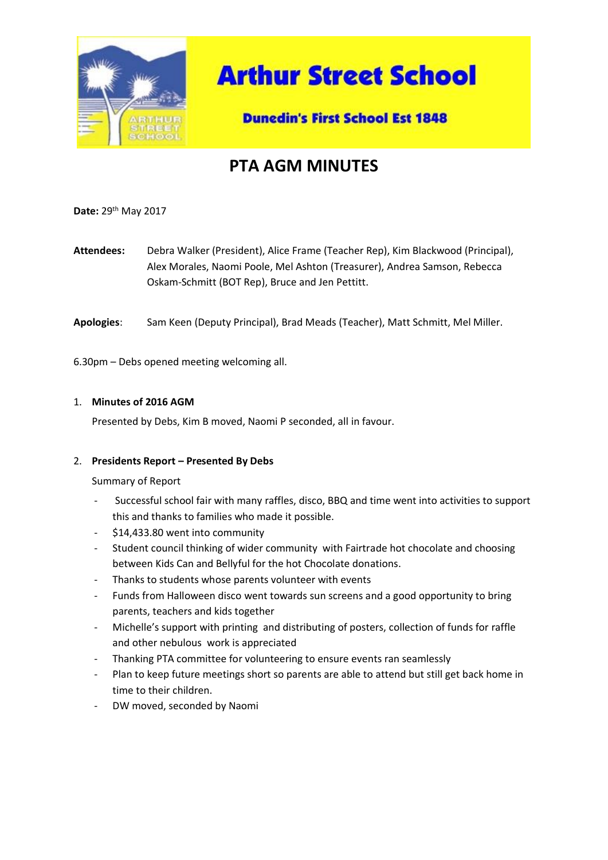

**Arthur Street School** 

**Dunedin's First School Est 1848** 

# **PTA AGM MINUTES**

**Date:** 29th May 2017

- **Attendees:** Debra Walker (President), Alice Frame (Teacher Rep), Kim Blackwood (Principal), Alex Morales, Naomi Poole, Mel Ashton (Treasurer), Andrea Samson, Rebecca Oskam-Schmitt (BOT Rep), Bruce and Jen Pettitt.
- **Apologies**: Sam Keen (Deputy Principal), Brad Meads (Teacher), Matt Schmitt, Mel Miller.

6.30pm – Debs opened meeting welcoming all.

## 1. **Minutes of 2016 AGM**

Presented by Debs, Kim B moved, Naomi P seconded, all in favour.

### 2. **Presidents Report – Presented By Debs**

### Summary of Report

- Successful school fair with many raffles, disco, BBQ and time went into activities to support this and thanks to families who made it possible.
- \$14,433.80 went into community
- Student council thinking of wider community with Fairtrade hot chocolate and choosing between Kids Can and Bellyful for the hot Chocolate donations.
- Thanks to students whose parents volunteer with events
- Funds from Halloween disco went towards sun screens and a good opportunity to bring parents, teachers and kids together
- Michelle's support with printing and distributing of posters, collection of funds for raffle and other nebulous work is appreciated
- Thanking PTA committee for volunteering to ensure events ran seamlessly
- Plan to keep future meetings short so parents are able to attend but still get back home in time to their children.
- DW moved, seconded by Naomi